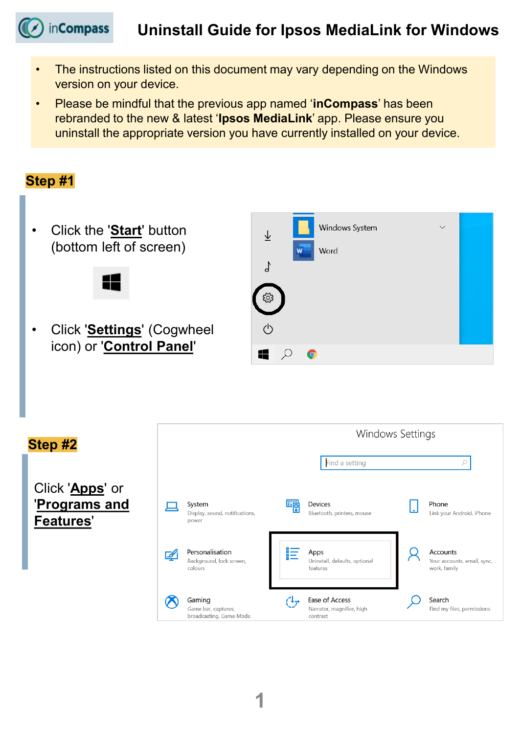## **Uninstall Guide for Ipsos MediaLink for Windows**

• The instructions listed on this document may vary depending on the Windows version on your device.

in**Compass** 

• Please be mindful that the previous app named '**inCompass**' has been rebranded to the new & latest '**Ipsos MediaLink**' app. Please ensure you uninstall the appropriate version you have currently installed on your device.

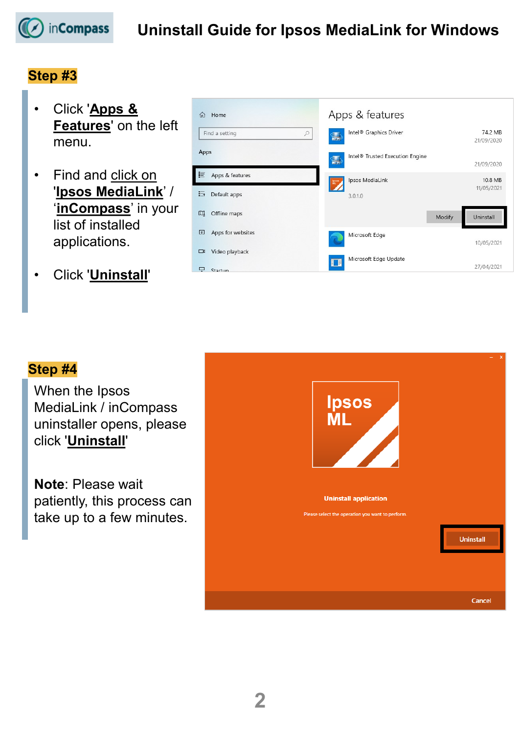

### **Step #3**

- Click '**Apps & Features**' on the left menu.
- Find and click on '**Ipsos MediaLink**' / '**inCompass**' in your list of installed applications.
- Click '**Uninstall**'

| 佡    | Home                        |                | Apps & features                             |        |                       |
|------|-----------------------------|----------------|---------------------------------------------|--------|-----------------------|
|      | $\varphi$<br>Find a setting | H              | Intel <sup>®</sup> Graphics Driver          |        | 74.2 MB<br>21/09/2020 |
| Apps |                             | $\blacksquare$ | Intel <sup>®</sup> Trusted Execution Engine |        | 21/09/2020            |
| 詎    | Apps & features             |                | Ipsos MediaLink                             |        | 10.8 MB               |
| 長    | Default apps                |                | 3.0.1.0                                     |        | 11/05/2021            |
| m    | Offline maps                |                |                                             | Modify | Uninstall             |
| 匝    | Apps for websites           |                | Microsoft Edge                              |        | 10/05/2021            |
| ā    | Video playback              |                | Microsoft Edge Update                       |        |                       |
| ç    | Startun                     |                |                                             |        | 27/04/2021            |

### **Step #4**

When the Ipsos MediaLink / inCompass uninstaller opens, please click '**Uninstall**'

**Note**: Please wait patiently, this process can take up to a few minutes.

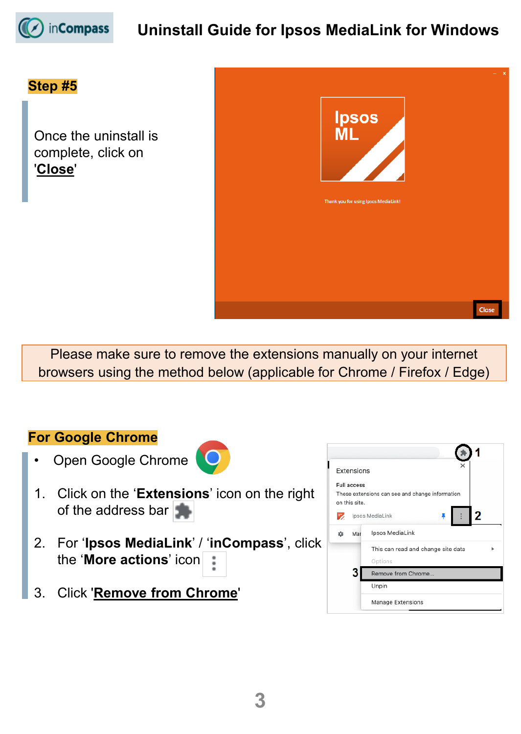

# **Uninstall Guide for Ipsos MediaLink for Windows**

### **Step #5**

Once the uninstall is complete, click on '**Close**'



Please make sure to remove the extensions manually on your internet browsers using the method below (applicable for Chrome / Firefox / Edge)

#### **For Google Chrome**

Open Google Chrome



- 1. Click on the '**Extensions**' icon on the right of the address bar
- 2. For '**Ipsos MediaLink**' / '**inCompass**', click the '**More actions**' icon
- 3. Click '**Remove from Chrome**'

|                            | Extensions    |                                                 |  |
|----------------------------|---------------|-------------------------------------------------|--|
| <b>Full access</b>         |               |                                                 |  |
|                            |               | These extensions can see and change information |  |
|                            | on this site. |                                                 |  |
| 2<br>Ipsos MediaLink<br>57 |               |                                                 |  |
| 厽                          | Mar           | Ipsos MediaLink                                 |  |
|                            |               | This can read and change site data              |  |
|                            |               | Options                                         |  |
| Remove from Chrome         |               |                                                 |  |
|                            |               | Unpin                                           |  |
|                            |               | Manage Extensions                               |  |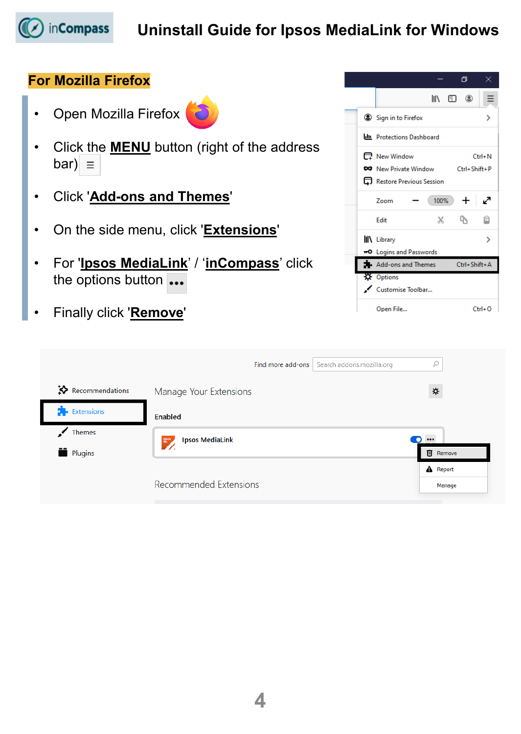

# **Uninstall Guide for Ipsos MediaLink for Windows**

## **For Mozilla Firefox**

- Open Mozilla Firefox
- Click the **MENU** button (right of the address bar)  $\equiv$
- Click '**Add-ons and Themes**'
- On the side menu, click '**Extensions**'
- For '**Ipsos MediaLink**' / '**inCompass**' click the options button ...
- Finally click '**Remove**'

|  |                                  |      | 巾            | x          |
|--|----------------------------------|------|--------------|------------|
|  |                                  |      | IIN EI ©     |            |
|  | Sign in to Firefox               |      |              | >          |
|  | <b>UIL</b> Protections Dashboard |      |              |            |
|  | 日 New Window                     |      |              | $Ctrl + M$ |
|  | <b>CO</b> New Private Window     |      | Ctrl+Shift+P |            |
|  | Restore Previous Session         |      |              |            |
|  | <b>Zoom</b>                      | 100% | +            |            |
|  | Edit                             | X    | Ľħ           | ô          |
|  | II\ Library                      |      |              |            |
|  | -O Logins and Passwords          |      |              |            |
|  | Add-ons and Themes               |      | Ctrl+Shift+A |            |
|  | <b>X</b> Options                 |      |              |            |
|  | Customise Toolbar                |      |              |            |
|  | Open File                        |      |              | $Ctrl + O$ |

|                                          | Find more add-ons             | Search addons.mozilla.org |          |
|------------------------------------------|-------------------------------|---------------------------|----------|
| $\mathbf{\ddot{\times}}$ Recommendations | Manage Your Extensions        |                           | ⋫        |
| $\bullet$ Extensions                     | Enabled                       |                           |          |
| Themes                                   | <b>Ipsos MediaLink</b>        |                           | $\cdots$ |
| Plugins                                  | $\mathbb{R}^n$                |                           |          |
|                                          |                               |                           | A Report |
|                                          | <b>Recommended Extensions</b> |                           | Manage   |
|                                          |                               |                           |          |